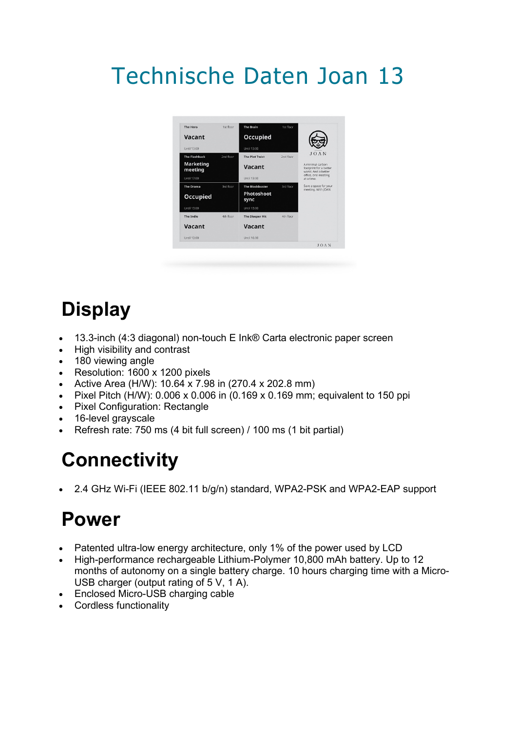# Technische Daten Joan 13



### **Display**

- 13.3-inch (4:3 diagonal) non-touch E Ink® Carta electronic paper screen
- High visibility and contrast
- 180 viewing angle
- Resolution: 1600 x 1200 pixels
- Active Area (H/W): 10.64 x 7.98 in (270.4 x 202.8 mm)
- Pixel Pitch (H/W):  $0.006 \times 0.006$  in (0.169 x 0.169 mm; equivalent to 150 ppi
- Pixel Configuration: Rectangle
- 16-level grayscale
- Refresh rate: 750 ms (4 bit full screen) / 100 ms (1 bit partial)

#### **Connectivity**

• 2.4 GHz Wi-Fi (IEEE 802.11 b/g/n) standard, WPA2-PSK and WPA2-EAP support

#### **Power**

- Patented ultra-low energy architecture, only 1% of the power used by LCD
- High-performance rechargeable Lithium-Polymer 10,800 mAh battery. Up to 12 months of autonomy on a single battery charge. 10 hours charging time with a Micro-USB charger (output rating of 5 V, 1 A).
- Enclosed Micro-USB charging cable
- Cordless functionality